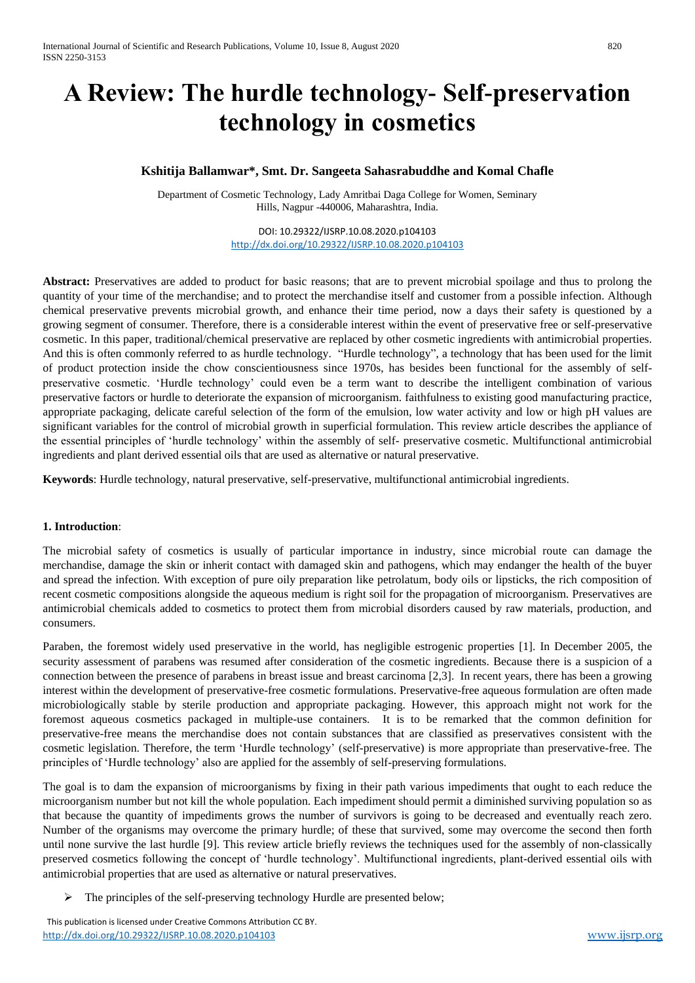# **A Review: The hurdle technology- Self-preservation technology in cosmetics**

# **Kshitija Ballamwar\*, Smt. Dr. Sangeeta Sahasrabuddhe and Komal Chafle**

Department of Cosmetic Technology, Lady Amritbai Daga College for Women, Seminary Hills, Nagpur -440006, Maharashtra, India.

> DOI: 10.29322/IJSRP.10.08.2020.p104103 <http://dx.doi.org/10.29322/IJSRP.10.08.2020.p104103>

**Abstract:** Preservatives are added to product for basic reasons; that are to prevent microbial spoilage and thus to prolong the quantity of your time of the merchandise; and to protect the merchandise itself and customer from a possible infection. Although chemical preservative prevents microbial growth, and enhance their time period, now a days their safety is questioned by a growing segment of consumer. Therefore, there is a considerable interest within the event of preservative free or self-preservative cosmetic. In this paper, traditional/chemical preservative are replaced by other cosmetic ingredients with antimicrobial properties. And this is often commonly referred to as hurdle technology. "Hurdle technology", a technology that has been used for the limit of product protection inside the chow conscientiousness since 1970s, has besides been functional for the assembly of selfpreservative cosmetic. 'Hurdle technology' could even be a term want to describe the intelligent combination of various preservative factors or hurdle to deteriorate the expansion of microorganism. faithfulness to existing good manufacturing practice, appropriate packaging, delicate careful selection of the form of the emulsion, low water activity and low or high pH values are significant variables for the control of microbial growth in superficial formulation. This review article describes the appliance of the essential principles of 'hurdle technology' within the assembly of self- preservative cosmetic. Multifunctional antimicrobial ingredients and plant derived essential oils that are used as alternative or natural preservative.

**Keywords**: Hurdle technology, natural preservative, self-preservative, multifunctional antimicrobial ingredients.

## **1. Introduction**:

The microbial safety of cosmetics is usually of particular importance in industry, since microbial route can damage the merchandise, damage the skin or inherit contact with damaged skin and pathogens, which may endanger the health of the buyer and spread the infection. With exception of pure oily preparation like petrolatum, body oils or lipsticks, the rich composition of recent cosmetic compositions alongside the aqueous medium is right soil for the propagation of microorganism. Preservatives are antimicrobial chemicals added to cosmetics to protect them from microbial disorders caused by raw materials, production, and consumers.

Paraben, the foremost widely used preservative in the world, has negligible estrogenic properties [1]. In December 2005, the security assessment of parabens was resumed after consideration of the cosmetic ingredients. Because there is a suspicion of a connection between the presence of parabens in breast issue and breast carcinoma [2,3]. In recent years, there has been a growing interest within the development of preservative-free cosmetic formulations. Preservative-free aqueous formulation are often made microbiologically stable by sterile production and appropriate packaging. However, this approach might not work for the foremost aqueous cosmetics packaged in multiple-use containers. It is to be remarked that the common definition for preservative-free means the merchandise does not contain substances that are classified as preservatives consistent with the cosmetic legislation. Therefore, the term 'Hurdle technology' (self-preservative) is more appropriate than preservative-free. The principles of 'Hurdle technology' also are applied for the assembly of self-preserving formulations.

The goal is to dam the expansion of microorganisms by fixing in their path various impediments that ought to each reduce the microorganism number but not kill the whole population. Each impediment should permit a diminished surviving population so as that because the quantity of impediments grows the number of survivors is going to be decreased and eventually reach zero. Number of the organisms may overcome the primary hurdle; of these that survived, some may overcome the second then forth until none survive the last hurdle [9]. This review article briefly reviews the techniques used for the assembly of non-classically preserved cosmetics following the concept of 'hurdle technology'. Multifunctional ingredients, plant-derived essential oils with antimicrobial properties that are used as alternative or natural preservatives.

 $\triangleright$  The principles of the self-preserving technology Hurdle are presented below;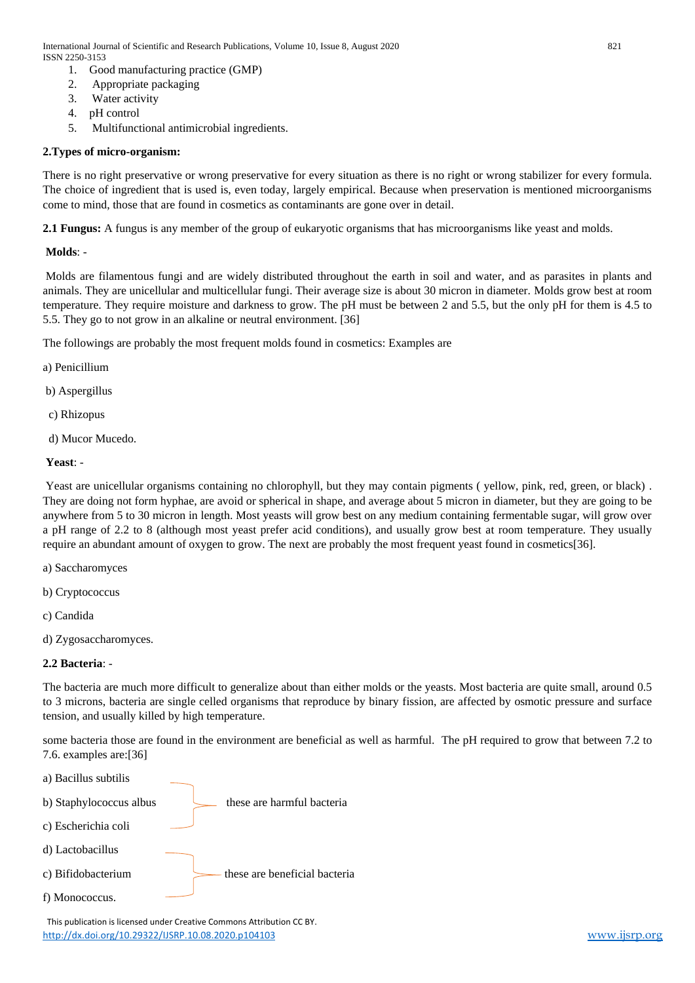- 1. Good manufacturing practice (GMP)
- 2. Appropriate packaging
- 3. Water activity
- 4. pH control
- 5. Multifunctional antimicrobial ingredients.

## **2.Types of micro-organism:**

There is no right preservative or wrong preservative for every situation as there is no right or wrong stabilizer for every formula. The choice of ingredient that is used is, even today, largely empirical. Because when preservation is mentioned microorganisms come to mind, those that are found in cosmetics as contaminants are gone over in detail.

**2.1 Fungus:** A fungus is any member of the group of eukaryotic organisms that has microorganisms like yeast and molds.

**Molds**: -

Molds are filamentous fungi and are widely distributed throughout the earth in soil and water, and as parasites in plants and animals. They are unicellular and multicellular fungi. Their average size is about 30 micron in diameter. Molds grow best at room temperature. They require moisture and darkness to grow. The pH must be between 2 and 5.5, but the only pH for them is 4.5 to 5.5. They go to not grow in an alkaline or neutral environment. [36]

The followings are probably the most frequent molds found in cosmetics: Examples are

a) Penicillium

- b) Aspergillus
- c) Rhizopus
- d) Mucor Mucedo.

**Yeast**: -

Yeast are unicellular organisms containing no chlorophyll, but they may contain pigments ( yellow, pink, red, green, or black). They are doing not form hyphae, are avoid or spherical in shape, and average about 5 micron in diameter, but they are going to be anywhere from 5 to 30 micron in length. Most yeasts will grow best on any medium containing fermentable sugar, will grow over a pH range of 2.2 to 8 (although most yeast prefer acid conditions), and usually grow best at room temperature. They usually require an abundant amount of oxygen to grow. The next are probably the most frequent yeast found in cosmetics[36].

- a) Saccharomyces
- b) Cryptococcus
- c) Candida
- d) Zygosaccharomyces.

## **2.2 Bacteria**: -

The bacteria are much more difficult to generalize about than either molds or the yeasts. Most bacteria are quite small, around 0.5 to 3 microns, bacteria are single celled organisms that reproduce by binary fission, are affected by osmotic pressure and surface tension, and usually killed by high temperature.

some bacteria those are found in the environment are beneficial as well as harmful. The pH required to grow that between 7.2 to 7.6. examples are:[36]

| a) Bacillus subtilis    |                               |
|-------------------------|-------------------------------|
| b) Staphylococcus albus | these are harmful bacteria    |
| c) Escherichia coli     |                               |
| d) Lactobacillus        |                               |
| c) Bifidobacterium      | these are beneficial bacteria |
| f) Monococcus.          |                               |
|                         |                               |

 This publication is licensed under Creative Commons Attribution CC BY. <http://dx.doi.org/10.29322/IJSRP.10.08.2020.p104103> [www.ijsrp.org](http://ijsrp.org/)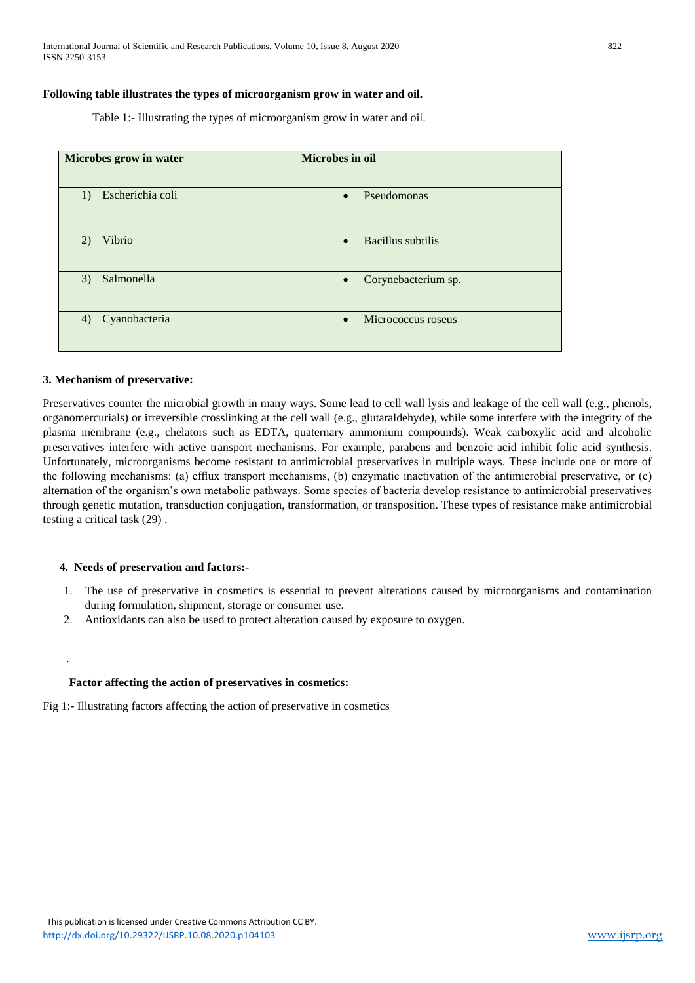Table 1:- Illustrating the types of microorganism grow in water and oil.

| Microbes grow in water | Microbes in oil          |
|------------------------|--------------------------|
| Escherichia coli       | Pseudomonas              |
| 1)                     | $\bullet$                |
| Vibrio                 | <b>Bacillus</b> subtilis |
| 2)                     | $\bullet$                |
| Salmonella             | Corynebacterium sp.      |
| 3)                     | $\bullet$                |
| Cyanobacteria          | Micrococcus roseus       |
| 4)                     | $\bullet$                |

## **3. Mechanism of preservative:**

Preservatives counter the microbial growth in many ways. Some lead to cell wall lysis and leakage of the cell wall (e.g., phenols, organomercurials) or irreversible crosslinking at the cell wall (e.g., glutaraldehyde), while some interfere with the integrity of the plasma membrane (e.g., chelators such as EDTA, quaternary ammonium compounds). Weak carboxylic acid and alcoholic preservatives interfere with active transport mechanisms. For example, parabens and benzoic acid inhibit folic acid synthesis. Unfortunately, microorganisms become resistant to antimicrobial preservatives in multiple ways. These include one or more of the following mechanisms: (a) efflux transport mechanisms, (b) enzymatic inactivation of the antimicrobial preservative, or (c) alternation of the organism's own metabolic pathways. Some species of bacteria develop resistance to antimicrobial preservatives through genetic mutation, transduction conjugation, transformation, or transposition. These types of resistance make antimicrobial testing a critical task (29) .

## **4. Needs of preservation and factors:-**

.

- 1. The use of preservative in cosmetics is essential to prevent alterations caused by microorganisms and contamination during formulation, shipment, storage or consumer use.
- 2. Antioxidants can also be used to protect alteration caused by exposure to oxygen.

#### **Factor affecting the action of preservatives in cosmetics:**

Fig 1:- Illustrating factors affecting the action of preservative in cosmetics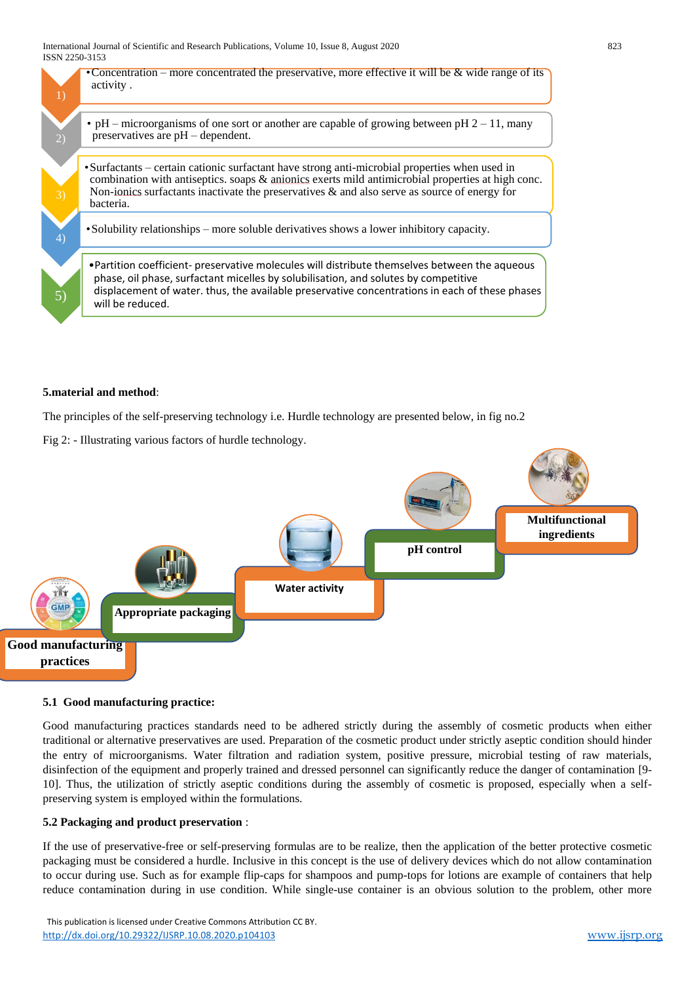

## **5.material and method**:

The principles of the self-preserving technology i.e. Hurdle technology are presented below, in fig no.2

**Multifunctional ingredientspH control Water activity GMP Appropriate packaging Good manufacturing practices**

Fig 2: - Illustrating various factors of hurdle technology.

## **5.1 Good manufacturing practice:**

Good manufacturing practices standards need to be adhered strictly during the assembly of cosmetic products when either traditional or alternative preservatives are used. Preparation of the cosmetic product under strictly aseptic condition should hinder the entry of microorganisms. Water filtration and radiation system, positive pressure, microbial testing of raw materials, disinfection of the equipment and properly trained and dressed personnel can significantly reduce the danger of contamination [9- 10]. Thus, the utilization of strictly aseptic conditions during the assembly of cosmetic is proposed, especially when a selfpreserving system is employed within the formulations.

# **5.2 Packaging and product preservation** :

If the use of preservative-free or self-preserving formulas are to be realize, then the application of the better protective cosmetic packaging must be considered a hurdle. Inclusive in this concept is the use of delivery devices which do not allow contamination to occur during use. Such as for example flip-caps for shampoos and pump-tops for lotions are example of containers that help reduce contamination during in use condition. While single-use container is an obvious solution to the problem, other more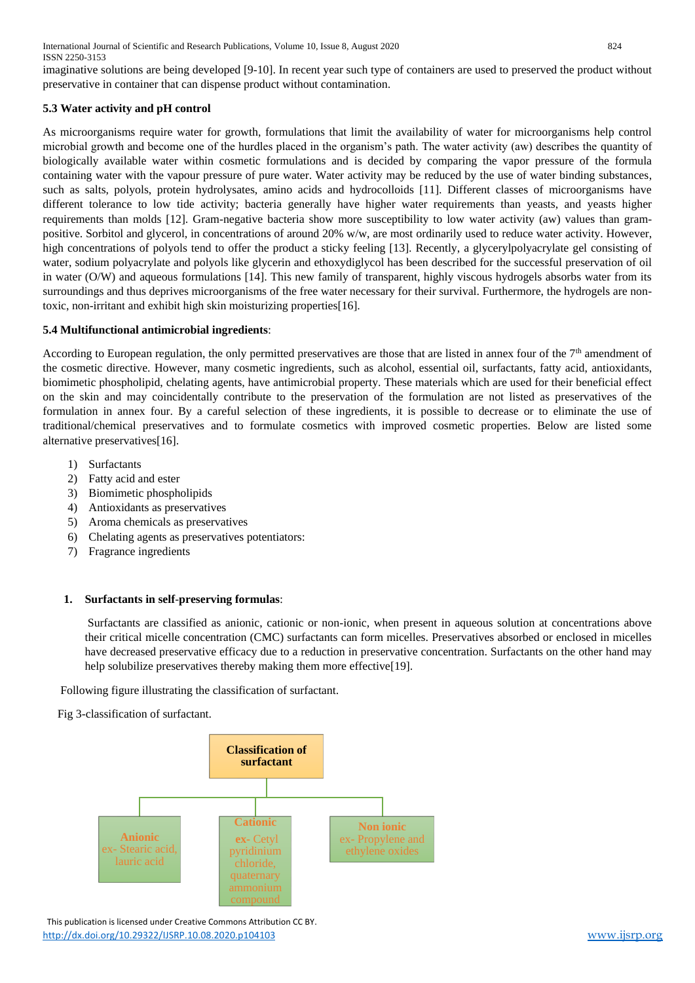imaginative solutions are being developed [9-10]. In recent year such type of containers are used to preserved the product without preservative in container that can dispense product without contamination.

## **5.3 Water activity and pH control**

As microorganisms require water for growth, formulations that limit the availability of water for microorganisms help control microbial growth and become one of the hurdles placed in the organism's path. The water activity (aw) describes the quantity of biologically available water within cosmetic formulations and is decided by comparing the vapor pressure of the formula containing water with the vapour pressure of pure water. Water activity may be reduced by the use of water binding substances, such as salts, polyols, protein hydrolysates, amino acids and hydrocolloids [11]. Different classes of microorganisms have different tolerance to low tide activity; bacteria generally have higher water requirements than yeasts, and yeasts higher requirements than molds [12]. Gram-negative bacteria show more susceptibility to low water activity (aw) values than grampositive. Sorbitol and glycerol, in concentrations of around 20% w/w, are most ordinarily used to reduce water activity. However, high concentrations of polyols tend to offer the product a sticky feeling [13]. Recently, a glycerylpolyacrylate gel consisting of water, sodium polyacrylate and polyols like glycerin and ethoxydiglycol has been described for the successful preservation of oil in water (O/W) and aqueous formulations [14]. This new family of transparent, highly viscous hydrogels absorbs water from its surroundings and thus deprives microorganisms of the free water necessary for their survival. Furthermore, the hydrogels are nontoxic, non-irritant and exhibit high skin moisturizing properties[16].

## **5.4 Multifunctional antimicrobial ingredients**:

According to European regulation, the only permitted preservatives are those that are listed in annex four of the  $7<sup>th</sup>$  amendment of the cosmetic directive. However, many cosmetic ingredients, such as alcohol, essential oil, surfactants, fatty acid, antioxidants, biomimetic phospholipid, chelating agents, have antimicrobial property. These materials which are used for their beneficial effect on the skin and may coincidentally contribute to the preservation of the formulation are not listed as preservatives of the formulation in annex four. By a careful selection of these ingredients, it is possible to decrease or to eliminate the use of traditional/chemical preservatives and to formulate cosmetics with improved cosmetic properties. Below are listed some alternative preservatives[16].

- 1) Surfactants
- 2) Fatty acid and ester
- 3) Biomimetic phospholipids
- 4) Antioxidants as preservatives
- 5) Aroma chemicals as preservatives
- 6) Chelating agents as preservatives potentiators:
- 7) Fragrance ingredients

## **1. Surfactants in self**-**preserving formulas**:

Surfactants are classified as anionic, cationic or non-ionic, when present in aqueous solution at concentrations above their critical micelle concentration (CMC) surfactants can form micelles. Preservatives absorbed or enclosed in micelles have decreased preservative efficacy due to a reduction in preservative concentration. Surfactants on the other hand may help solubilize preservatives thereby making them more effective[19].

Following figure illustrating the classification of surfactant.

Fig 3-classification of surfactant.

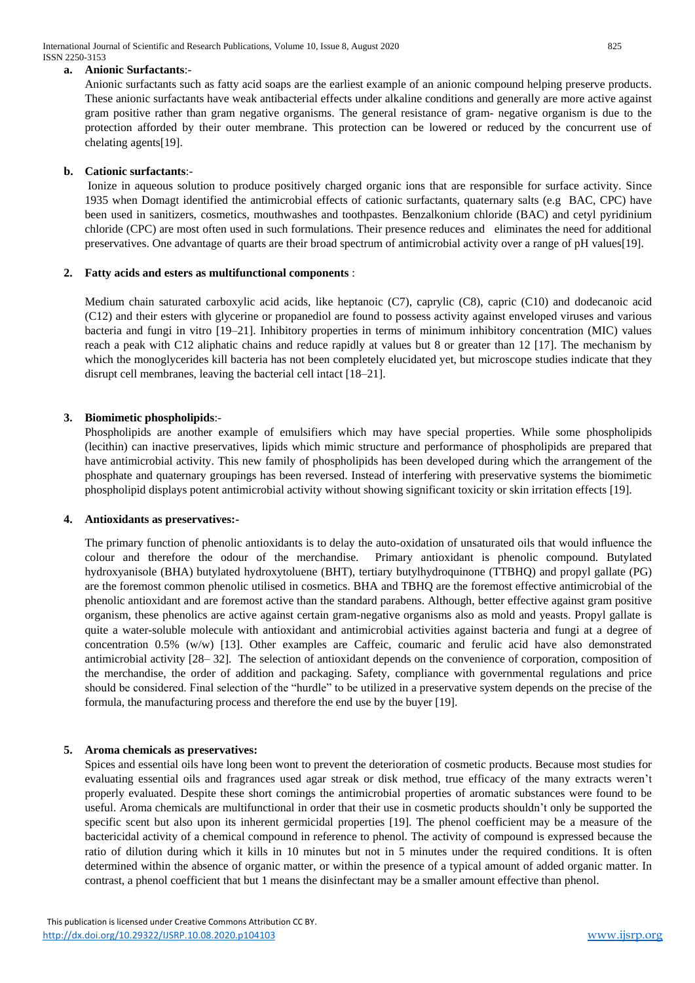## **a. Anionic Surfactants**:-

Anionic surfactants such as fatty acid soaps are the earliest example of an anionic compound helping preserve products. These anionic surfactants have weak antibacterial effects under alkaline conditions and generally are more active against gram positive rather than gram negative organisms. The general resistance of gram- negative organism is due to the protection afforded by their outer membrane. This protection can be lowered or reduced by the concurrent use of chelating agents[19].

## **b. Cationic surfactants**:-

Ionize in aqueous solution to produce positively charged organic ions that are responsible for surface activity. Since 1935 when Domagt identified the antimicrobial effects of cationic surfactants, quaternary salts (e.g BAC, CPC) have been used in sanitizers, cosmetics, mouthwashes and toothpastes. Benzalkonium chloride (BAC) and cetyl pyridinium chloride (CPC) are most often used in such formulations. Their presence reduces and eliminates the need for additional preservatives. One advantage of quarts are their broad spectrum of antimicrobial activity over a range of pH values[19].

## **2. Fatty acids and esters as multifunctional components** :

Medium chain saturated carboxylic acid acids, like heptanoic (C7), caprylic (C8), capric (C10) and dodecanoic acid (C12) and their esters with glycerine or propanediol are found to possess activity against enveloped viruses and various bacteria and fungi in vitro [19–21]. Inhibitory properties in terms of minimum inhibitory concentration (MIC) values reach a peak with C12 aliphatic chains and reduce rapidly at values but 8 or greater than 12 [17]. The mechanism by which the monoglycerides kill bacteria has not been completely elucidated yet, but microscope studies indicate that they disrupt cell membranes, leaving the bacterial cell intact [18–21].

## **3. Biomimetic phospholipids**:-

Phospholipids are another example of emulsifiers which may have special properties. While some phospholipids (lecithin) can inactive preservatives, lipids which mimic structure and performance of phospholipids are prepared that have antimicrobial activity. This new family of phospholipids has been developed during which the arrangement of the phosphate and quaternary groupings has been reversed. Instead of interfering with preservative systems the biomimetic phospholipid displays potent antimicrobial activity without showing significant toxicity or skin irritation effects [19].

#### **4. Antioxidants as preservatives:-**

The primary function of phenolic antioxidants is to delay the auto-oxidation of unsaturated oils that would influence the colour and therefore the odour of the merchandise. Primary antioxidant is phenolic compound. Butylated hydroxyanisole (BHA) butylated hydroxytoluene (BHT), tertiary butylhydroquinone (TTBHQ) and propyl gallate (PG) are the foremost common phenolic utilised in cosmetics. BHA and TBHQ are the foremost effective antimicrobial of the phenolic antioxidant and are foremost active than the standard parabens. Although, better effective against gram positive organism, these phenolics are active against certain gram-negative organisms also as mold and yeasts. Propyl gallate is quite a water-soluble molecule with antioxidant and antimicrobial activities against bacteria and fungi at a degree of concentration 0.5% (w/w) [13]. Other examples are Caffeic, coumaric and ferulic acid have also demonstrated antimicrobial activity [28– 32]. The selection of antioxidant depends on the convenience of corporation, composition of the merchandise, the order of addition and packaging. Safety, compliance with governmental regulations and price should be considered. Final selection of the "hurdle" to be utilized in a preservative system depends on the precise of the formula, the manufacturing process and therefore the end use by the buyer [19].

#### **5. Aroma chemicals as preservatives:**

Spices and essential oils have long been wont to prevent the deterioration of cosmetic products. Because most studies for evaluating essential oils and fragrances used agar streak or disk method, true efficacy of the many extracts weren't properly evaluated. Despite these short comings the antimicrobial properties of aromatic substances were found to be useful. Aroma chemicals are multifunctional in order that their use in cosmetic products shouldn't only be supported the specific scent but also upon its inherent germicidal properties [19]. The phenol coefficient may be a measure of the bactericidal activity of a chemical compound in reference to phenol. The activity of compound is expressed because the ratio of dilution during which it kills in 10 minutes but not in 5 minutes under the required conditions. It is often determined within the absence of organic matter, or within the presence of a typical amount of added organic matter. In contrast, a phenol coefficient that but 1 means the disinfectant may be a smaller amount effective than phenol.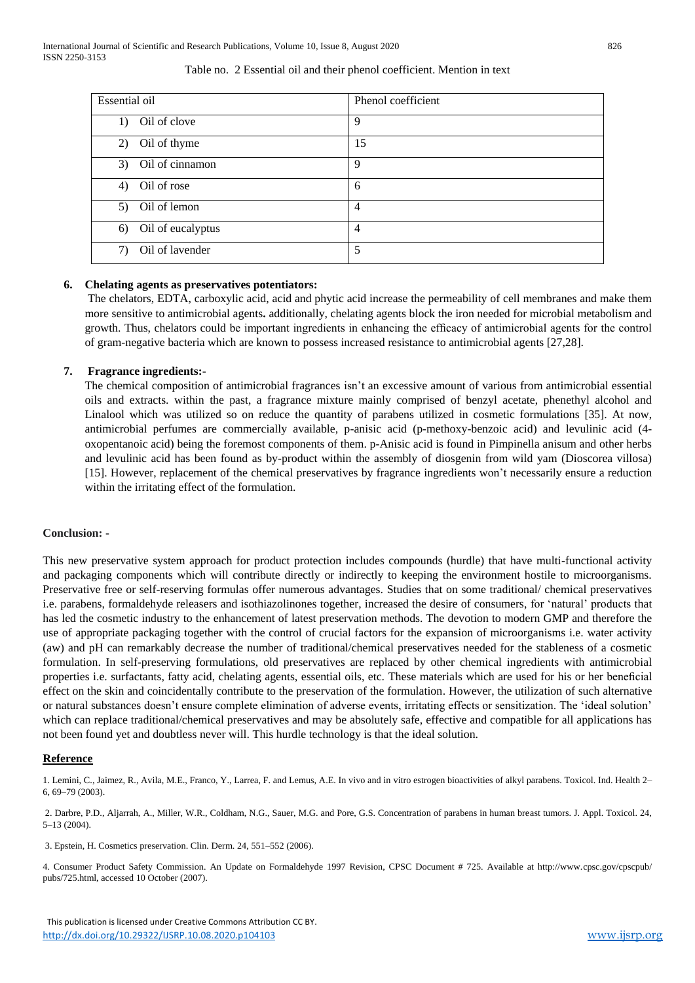|  |  | Table no. 2 Essential oil and their phenol coefficient. Mention in text |  |  |  |  |
|--|--|-------------------------------------------------------------------------|--|--|--|--|
|--|--|-------------------------------------------------------------------------|--|--|--|--|

| Essential oil           | Phenol coefficient |
|-------------------------|--------------------|
| Oil of clove<br>1)      | 9                  |
| Oil of thyme<br>2)      | 15                 |
| Oil of cinnamon<br>3)   | 9                  |
| Oil of rose<br>4)       | 6                  |
| Oil of lemon<br>5)      | $\overline{4}$     |
| Oil of eucalyptus<br>6) | $\overline{4}$     |
| Oil of lavender<br>7)   | 5                  |

## **6. Chelating agents as preservatives potentiators:**

The chelators, EDTA, carboxylic acid, acid and phytic acid increase the permeability of cell membranes and make them more sensitive to antimicrobial agents**.** additionally, chelating agents block the iron needed for microbial metabolism and growth. Thus, chelators could be important ingredients in enhancing the efficacy of antimicrobial agents for the control of gram-negative bacteria which are known to possess increased resistance to antimicrobial agents [27,28].

## **7. Fragrance ingredients:-**

The chemical composition of antimicrobial fragrances isn't an excessive amount of various from antimicrobial essential oils and extracts. within the past, a fragrance mixture mainly comprised of benzyl acetate, phenethyl alcohol and Linalool which was utilized so on reduce the quantity of parabens utilized in cosmetic formulations [35]. At now, antimicrobial perfumes are commercially available, p-anisic acid (p-methoxy-benzoic acid) and levulinic acid (4 oxopentanoic acid) being the foremost components of them. p-Anisic acid is found in Pimpinella anisum and other herbs and levulinic acid has been found as by-product within the assembly of diosgenin from wild yam (Dioscorea villosa) [15]. However, replacement of the chemical preservatives by fragrance ingredients won't necessarily ensure a reduction within the irritating effect of the formulation.

## **Conclusion: -**

This new preservative system approach for product protection includes compounds (hurdle) that have multi-functional activity and packaging components which will contribute directly or indirectly to keeping the environment hostile to microorganisms. Preservative free or self-reserving formulas offer numerous advantages. Studies that on some traditional/ chemical preservatives i.e. parabens, formaldehyde releasers and isothiazolinones together, increased the desire of consumers, for 'natural' products that has led the cosmetic industry to the enhancement of latest preservation methods. The devotion to modern GMP and therefore the use of appropriate packaging together with the control of crucial factors for the expansion of microorganisms i.e. water activity (aw) and pH can remarkably decrease the number of traditional/chemical preservatives needed for the stableness of a cosmetic formulation. In self-preserving formulations, old preservatives are replaced by other chemical ingredients with antimicrobial properties i.e. surfactants, fatty acid, chelating agents, essential oils, etc. These materials which are used for his or her beneficial effect on the skin and coincidentally contribute to the preservation of the formulation. However, the utilization of such alternative or natural substances doesn't ensure complete elimination of adverse events, irritating effects or sensitization. The 'ideal solution' which can replace traditional/chemical preservatives and may be absolutely safe, effective and compatible for all applications has not been found yet and doubtless never will. This hurdle technology is that the ideal solution.

## **Reference**

1. Lemini, C., Jaimez, R., Avila, M.E., Franco, Y., Larrea, F. and Lemus, A.E. In vivo and in vitro estrogen bioactivities of alkyl parabens. Toxicol. Ind. Health 2– 6, 69–79 (2003).

2. Darbre, P.D., Aljarrah, A., Miller, W.R., Coldham, N.G., Sauer, M.G. and Pore, G.S. Concentration of parabens in human breast tumors. J. Appl. Toxicol. 24, 5–13 (2004).

3. Epstein, H. Cosmetics preservation. Clin. Derm. 24, 551–552 (2006).

4. Consumer Product Safety Commission. An Update on Formaldehyde 1997 Revision, CPSC Document # 725. Available at http://www.cpsc.gov/cpscpub/ pubs/725.html, accessed 10 October (2007).